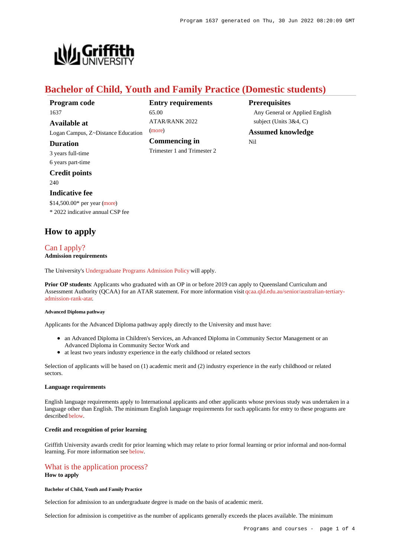**Prerequisites**

Nil

Any General or Applied English

subject (Units 3&4, C) **Assumed knowledge**



# **Bachelor of Child, Youth and Family Practice (Domestic students)**

**Entry requirements**

ATAR/RANK 2022

**Commencing in** Trimester 1 and Trimester 2

65.00

[\(more](https://www148.griffith.edu.au/programs-courses/Program/1637/HowToApply/Domestic#tac-entry-requirements))

| Program code |
|--------------|
| 1637         |
| Available at |

Logan Campus, Z~Distance Education

### **Duration**

3 years full-time 6 years part-time

**Credit points** 240

### **Indicative fee**

\$14,500.00\* per year [\(more](https://www148.griffith.edu.au/programs-courses/Program/1637/Overview/Domestic#fees)) \* 2022 indicative annual CSP fee

# **How to apply**

## [Can I apply?](https://www148.griffith.edu.au/programs-courses/Program/1637/HowToApply/Domestic#can-i-apply) **Admission requirements**

The University's [Undergraduate Programs Admission Policy](https://sharepointpubstor.blob.core.windows.net/policylibrary-prod/Undergraduate Programs Admission Policy.pdf) will apply.

**Prior OP students**: Applicants who graduated with an OP in or before 2019 can apply to Queensland Curriculum and Assessment Authority (QCAA) for an ATAR statement. For more information visit [qcaa.qld.edu.au/senior/australian-tertiary](http://qcaa.qld.edu.au/senior/australian-tertiary-admission-rank-atar)[admission-rank-atar](http://qcaa.qld.edu.au/senior/australian-tertiary-admission-rank-atar).

#### **Advanced Diploma pathway**

Applicants for the Advanced Diploma pathway apply directly to the University and must have:

- an Advanced Diploma in Children's Services, an Advanced Diploma in Community Sector Management or an Advanced Diploma in Community Sector Work and
- at least two years industry experience in the early childhood or related sectors

Selection of applicants will be based on (1) academic merit and (2) industry experience in the early childhood or related sectors.

## **Language requirements**

English language requirements apply to International applicants and other applicants whose previous study was undertaken in a language other than English. The minimum English language requirements for such applicants for entry to these programs are described [below](https://www148.griffith.edu.au/programs-courses/Program/1637/HowToApply/Domestic#language).

## **Credit and recognition of prior learning**

Griffith University awards credit for prior learning which may relate to prior formal learning or prior informal and non-formal learning. For more information see [below](https://www148.griffith.edu.au/programs-courses/Program/1637/HowToApply/Domestic#credit).

# [What is the application process?](https://www148.griffith.edu.au/programs-courses/Program/1637/HowToApply/Domestic#process)

## **How to apply**

**Bachelor of Child, Youth and Family Practice**

Selection for admission to an undergraduate degree is made on the basis of academic merit.

Selection for admission is competitive as the number of applicants generally exceeds the places available. The minimum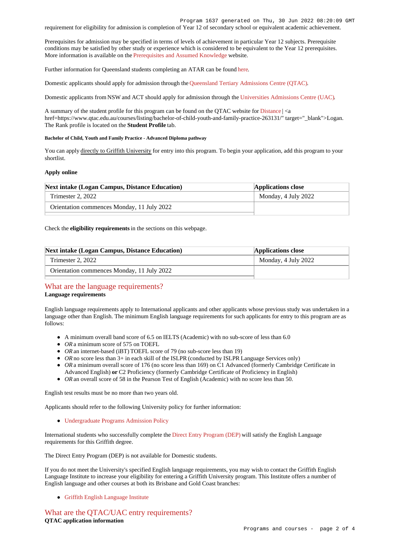Program 1637 generated on Thu, 30 Jun 2022 08:20:09 GMT

requirement for eligibility for admission is completion of Year 12 of secondary school or equivalent academic achievement.

Prerequisites for admission may be specified in terms of levels of achievement in particular Year 12 subjects. Prerequisite conditions may be satisfied by other study or experience which is considered to be equivalent to the Year 12 prerequisites. More information is available on the [Prerequisites and Assumed Knowledge](https://www.griffith.edu.au/apply/prerequisites-assumed-knowledge) website.

Further information for Queensland students completing an ATAR can be found [here](https://www.griffith.edu.au/apply/undergraduate-study/high-school-students/admission-in-2021).

Domestic applicants should apply for admission through the [Queensland Tertiary Admissions Centre \(QTAC\)](http://www.qtac.edu.au/).

Domestic applicants from NSW and ACT should apply for admission through the [Universities Admissions Centre \(UAC\)](http://www.uac.edu.au/).

A summary of the student profile for this program can be found on the QTAC website for [Distance](https://www.qtac.edu.au/courses/listing/bachelor-of-child-youth-and-family-practice-276105/)  $|$  <a href=https://www.qtac.edu.au/courses/listing/bachelor-of-child-youth-and-family-practice-263131/" target="\_blank">Logan. The Rank profile is located on the **Student Profile** tab.

#### **Bachelor of Child, Youth and Family Practice - Advanced Diploma pathway**

You can apply directly to Griffith University for entry into this program. To begin your application, add this program to your shortlist.

#### **Apply online**

| <b>Next intake (Logan Campus, Distance Education)</b> | <b>Applications close</b> |
|-------------------------------------------------------|---------------------------|
| Trimester 2, 2022                                     | Monday, 4 July 2022       |
| Orientation commences Monday, 11 July 2022            |                           |

Check the **eligibility requirements** in the sections on this webpage.

| <b>Next intake (Logan Campus, Distance Education)</b> | <b>Applications close</b> |
|-------------------------------------------------------|---------------------------|
| Trimester 2, 2022                                     | Monday, 4 July 2022       |
| Orientation commences Monday, 11 July 2022            |                           |

## [What are the language requirements?](https://www148.griffith.edu.au/programs-courses/Program/1637/HowToApply/Domestic#language) **Language requirements**

English language requirements apply to International applicants and other applicants whose previous study was undertaken in a language other than English. The minimum English language requirements for such applicants for entry to this program are as follows:

- A minimum overall band score of 6.5 on IELTS (Academic) with no sub-score of less than 6.0
- OR a minimum score of 575 on TOEFL
- *OR* an internet-based (iBT) TOEFL score of 79 (no sub-score less than 19)
- OR no score less than 3+ in each skill of the ISLPR (conducted by ISLPR Language Services only)
- OR a minimum overall score of 176 (no score less than 169) on C1 Advanced (formerly Cambridge Certificate in
- Advanced English) **or** C2 Proficiency (formerly Cambridge Certificate of Proficiency in English)
- *OR* an overall score of 58 in the Pearson Test of English (Academic) with no score less than 50.

English test results must be no more than two years old.

Applicants should refer to the following University policy for further information:

[Undergraduate Programs Admission Policy](http://policies.griffith.edu.au/pdf/Undergraduate Programs Admission Policy.pdf)

International students who successfully complete the [Direct Entry Program \(DEP\)](https://www.griffith.edu.au/international/griffith-english-language-institute/courses/direct-entry-program) will satisfy the English Language requirements for this Griffith degree.

The Direct Entry Program (DEP) is not available for Domestic students.

If you do not meet the University's specified English language requirements, you may wish to contact the Griffith English Language Institute to increase your eligibility for entering a Griffith University program. This Institute offers a number of English language and other courses at both its Brisbane and Gold Coast branches:

[Griffith English Language Institute](https://www.griffith.edu.au/international/griffith-english-language-institute)

# [What are the QTAC/UAC entry requirements?](https://www148.griffith.edu.au/programs-courses/Program/1637/HowToApply/Domestic#tac-entry-requirements) **QTAC application information**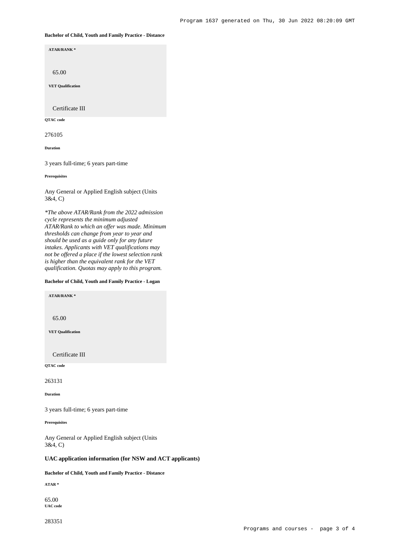#### **Bachelor of Child, Youth and Family Practice - Distance**

**ATAR/RANK \***

65.00

**VET Qualification**

Certificate III

**QTAC code**

276105

**Duration**

3 years full-time; 6 years part-time

**Prerequisites**

Any General or Applied English subject (Units 3&4, C)

*\*The above ATAR/Rank from the 2022 admission cycle represents the minimum adjusted ATAR/Rank to which an offer was made. Minimum thresholds can change from year to year and should be used as a guide only for any future intakes. Applicants with VET qualifications may not be offered a place if the lowest selection rank is higher than the equivalent rank for the VET qualification. Quotas may apply to this program.*

## **Bachelor of Child, Youth and Family Practice - Logan**

**ATAR/RANK \***

65.00

**VET Qualification**

Certificate III

**QTAC code**

263131

**Duration**

3 years full-time; 6 years part-time

**Prerequisites**

Any General or Applied English subject (Units 3&4, C)

## **UAC application information (for NSW and ACT applicants)**

**Bachelor of Child, Youth and Family Practice - Distance**

**ATAR \***

65.00 **UAC code**

283351